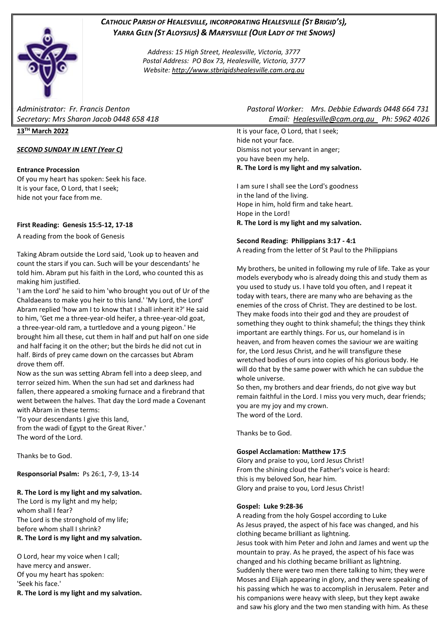

# *CATHOLIC PARISH OF HEALESVILLE, INCORPORATING HEALESVILLE (ST BRIGID'S), YARRA GLEN (ST ALOYSIUS) & MARYSVILLE (OUR LADY OF THE SNOWS)*

*Address: 15 High Street, Healesville, Victoria, 3777 Postal Address: PO Box 73, Healesville, Victoria, 3777 Website: [http://www.stbrigidshealesville.cam.org.au](http://www.stbrigidshealesville.cam.org.au/)*

**13TH March 2022**

# *SECOND SUNDAY IN LENT (Year C)*

# **Entrance Procession**

Of you my heart has spoken: Seek his face. It is your face, O Lord, that I seek; hide not your face from me.

# **First Reading: Genesis 15:5-12, 17-18**

A reading from the book of Genesis

Taking Abram outside the Lord said, 'Look up to heaven and count the stars if you can. Such will be your descendants' he told him. Abram put his faith in the Lord, who counted this as making him justified.

'I am the Lord' he said to him 'who brought you out of Ur of the Chaldaeans to make you heir to this land.' 'My Lord, the Lord' Abram replied 'how am I to know that I shall inherit it?' He said to him, 'Get me a three-year-old heifer, a three-year-old goat, a three-year-old ram, a turtledove and a young pigeon.' He brought him all these, cut them in half and put half on one side and half facing it on the other; but the birds he did not cut in half. Birds of prey came down on the carcasses but Abram drove them off.

Now as the sun was setting Abram fell into a deep sleep, and terror seized him. When the sun had set and darkness had fallen, there appeared a smoking furnace and a firebrand that went between the halves. That day the Lord made a Covenant with Abram in these terms:

'To your descendants I give this land, from the wadi of Egypt to the Great River.' The word of the Lord.

Thanks be to God.

**Responsorial Psalm:** Ps 26:1, 7-9, 13-14

# **R. The Lord is my light and my salvation.**

The Lord is my light and my help; whom shall I fear? The Lord is the stronghold of my life; before whom shall I shrink? **R. The Lord is my light and my salvation.**

O Lord, hear my voice when I call; have mercy and answer. Of you my heart has spoken: 'Seek his face.'

**R. The Lord is my light and my salvation.**

*Administrator: Fr. Francis Denton Pastoral Worker: Mrs. Debbie Edwards 0448 664 731 Secretary: Mrs Sharon Jacob 0448 658 418 Email: [Healesville@cam.org.au](mailto:Healesville@cam.org.au) Ph: 5962 4026* 

> It is your face, O Lord, that I seek; hide not your face. Dismiss not your servant in anger; you have been my help. **R. The Lord is my light and my salvation.**

> I am sure I shall see the Lord's goodness in the land of the living. Hope in him, hold firm and take heart. Hope in the Lord! **R. The Lord is my light and my salvation.**

# **Second Reading: Philippians 3:17 - 4:1**

A reading from the letter of St Paul to the Philippians

My brothers, be united in following my rule of life. Take as your models everybody who is already doing this and study them as you used to study us. I have told you often, and I repeat it today with tears, there are many who are behaving as the enemies of the cross of Christ. They are destined to be lost. They make foods into their god and they are proudest of something they ought to think shameful; the things they think important are earthly things. For us, our homeland is in heaven, and from heaven comes the saviour we are waiting for, the Lord Jesus Christ, and he will transfigure these wretched bodies of ours into copies of his glorious body. He will do that by the same power with which he can subdue the whole universe.

So then, my brothers and dear friends, do not give way but remain faithful in the Lord. I miss you very much, dear friends; you are my joy and my crown. The word of the Lord.

Thanks be to God.

# **Gospel Acclamation: Matthew 17:5**

Glory and praise to you, Lord Jesus Christ! From the shining cloud the Father's voice is heard: this is my beloved Son, hear him. Glory and praise to you, Lord Jesus Christ!

# **Gospel: Luke 9:28-36**

A reading from the holy Gospel according to Luke As Jesus prayed, the aspect of his face was changed, and his clothing became brilliant as lightning. Jesus took with him Peter and John and James and went up the mountain to pray. As he prayed, the aspect of his face was changed and his clothing became brilliant as lightning. Suddenly there were two men there talking to him; they were Moses and Elijah appearing in glory, and they were speaking of his passing which he was to accomplish in Jerusalem. Peter and his companions were heavy with sleep, but they kept awake and saw his glory and the two men standing with him. As these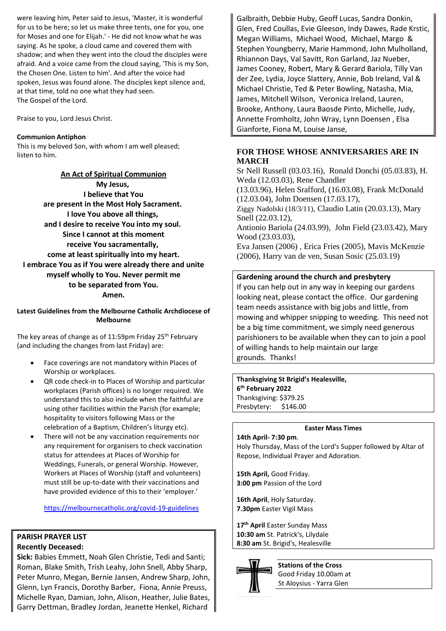were leaving him, Peter said to Jesus, 'Master, it is wonderful for us to be here; so let us make three tents, one for you, one for Moses and one for Elijah.' - He did not know what he was saying. As he spoke, a cloud came and covered them with shadow; and when they went into the cloud the disciples were afraid. And a voice came from the cloud saying, 'This is my Son, the Chosen One. Listen to him'. And after the voice had spoken, Jesus was found alone. The disciples kept silence and, at that time, told no one what they had seen. The Gospel of the Lord.

Praise to you, Lord Jesus Christ.

# **Communion Antiphon**

This is my beloved Son, with whom I am well pleased; listen to him.

**An Act of Spiritual Communion My Jesus, I believe that You are present in the Most Holy Sacrament. I love You above all things, and I desire to receive You into my soul. Since I cannot at this moment receive You sacramentally, come at least spiritually into my heart. I embrace You as if You were already there and unite myself wholly to You. Never permit me to be separated from You. Amen.**

**Latest Guidelines from the Melbourne Catholic Archdiocese of Melbourne**

The key areas of change as of 11:59pm Friday 25<sup>th</sup> February (and including the changes from last Friday) are:

- Face coverings are not mandatory within Places of Worship or workplaces.
- QR code check-in to Places of Worship and particular workplaces (Parish offices) is no longer required. We understand this to also include when the faithful are using other facilities within the Parish (for example; hospitality to visitors following Mass or the celebration of a Baptism, Children's liturgy etc).
- There will not be any vaccination requirements nor any requirement for organisers to check vaccination status for attendees at Places of Worship for Weddings, Funerals, or general Worship. However, Workers at Places of Worship (staff and volunteers) must still be up-to-date with their vaccinations and have provided evidence of this to their 'employer.'

<https://melbournecatholic.org/covid-19-guidelines>

# **PARISH PRAYER LIST**

# **Recently Deceased:**

**Sick:** Babies Emmett, Noah Glen Christie, Tedi and Santi; Roman, Blake Smith, Trish Leahy, John Snell, Abby Sharp, Peter Munro, Megan, Bernie Jansen, Andrew Sharp, John, Glenn, Lyn Francis, Dorothy Barber, Fiona, Annie Preuss, Michelle Ryan, Damian, John, Alison, Heather, Julie Bates, Garry Dettman, Bradley Jordan, Jeanette Henkel, Richard Galbraith, Debbie Huby, Geoff Lucas, Sandra Donkin, Glen, Fred Coullas, Evie Gleeson, Indy Dawes, Rade Krstic, Megan Williams, Michael Wood, Michael, Margo & Stephen Youngberry, Marie Hammond, John Mulholland, Rhiannon Days, Val Savitt, Ron Garland, Jaz Nueber, James Cooney, Robert, Mary & Gerard Bariola, Tilly Van der Zee, Lydia, Joyce Slattery, Annie, Bob Ireland, Val & Michael Christie, Ted & Peter Bowling, Natasha, Mia, James, Mitchell Wilson, Veronica Ireland, Lauren, Brooke, Anthony, Laura Baosde Pinto, Michelle, Judy, Annette Fromholtz, John Wray, Lynn Doensen , Elsa Gianforte, Fiona M, Louise Janse,

# **FOR THOSE WHOSE ANNIVERSARIES ARE IN MARCH**

Sr Nell Russell (03.03.16), Ronald Donchi (05.03.83), H. Weda (12.03.03), Rene Chandler

(13.03.96), Helen Srafford, (16.03.08), Frank McDonald (12.03.04), John Doensen (17.03.17),

Ziggy Nadolski (18/3/11), Claudio Latin (20.03.13), Mary Snell (22.03.12),

Antionio Bariola (24.03.99), John Field (23.03.42), Mary Wood (23.03.03),

Eva Jansen (2006) , Erica Fries (2005), Mavis McKenzie (2006), Harry van de ven, Susan Sosic (25.03.19)

# **Gardening around the church and presbytery**

If you can help out in any way in keeping our gardens looking neat, please contact the office. Our gardening team needs assistance with big jobs and little, from mowing and whipper snipping to weeding. This need not be a big time commitment, we simply need generous parishioners to be available when they can to join a pool of willing hands to help maintain our large grounds. Thanks!

**Thanksgiving St Brigid's Healesville, 6 th February 2022**  Thanksgiving: \$379.25 Presbytery: \$146.00

# **Easter Mass Times**

#### **14th April- 7:30 pm**.

Holy Thursday, Mass of the Lord's Supper followed by Altar of Repose, Individual Prayer and Adoration.

**15th April,** Good Friday. **3:00 pm** Passion of the Lord

**16th April**, Holy Saturday. **7.30pm** Easter Vigil Mass

**17th April** Easter Sunday Mass **10:30 am** St. Patrick's, Lilydale **8:30 am** St. Brigid's, Healesville



**Stations of the Cross** Good Friday 10.00am at St Aloysius - Yarra Glen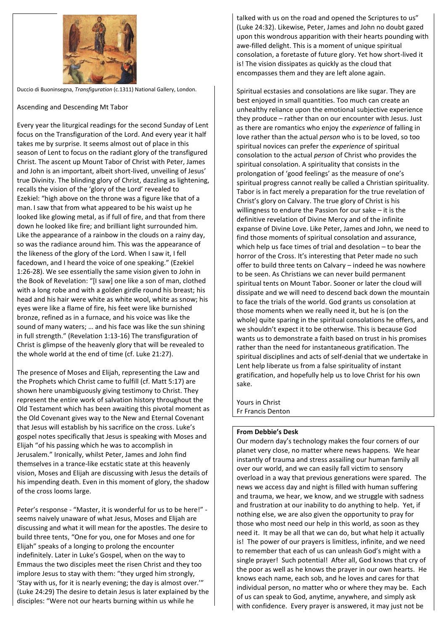

Duccio di Buoninsegna, *Transfiguration* (c.1311) National Gallery, London.

Ascending and Descending Mt Tabor

Every year the liturgical readings for the second Sunday of Lent focus on the Transfiguration of the Lord. And every year it half takes me by surprise. It seems almost out of place in this season of Lent to focus on the radiant glory of the transfigured Christ. The ascent up Mount Tabor of Christ with Peter, James and John is an important, albeit short-lived, unveiling of Jesus' true Divinity. The blinding glory of Christ, dazzling as lightening, recalls the vision of the 'glory of the Lord' revealed to Ezekiel: "high above on the throne was a figure like that of a man. I saw that from what appeared to be his waist up he looked like glowing metal, as if full of fire, and that from there down he looked like fire; and brilliant light surrounded him. Like the appearance of a rainbow in the clouds on a rainy day, so was the radiance around him. This was the appearance of the likeness of the glory of the Lord. When I saw it, I fell facedown, and I heard the voice of one speaking." (Ezekiel 1:26-28). We see essentially the same vision given to John in the Book of Revelation: "[I saw] one like a son of man, clothed with a long robe and with a golden girdle round his breast; his head and his hair were white as white wool, white as snow; his eyes were like a flame of fire, his feet were like burnished bronze, refined as in a furnace, and his voice was like the sound of many waters; … and his face was like the sun shining in full strength." (Revelation 1:13-16) The transfiguration of Christ is glimpse of the heavenly glory that will be revealed to the whole world at the end of time (cf. Luke 21:27).

The presence of Moses and Elijah, representing the Law and the Prophets which Christ came to fulfill (cf. Matt 5:17) are shown here unambiguously giving testimony to Christ. They represent the entire work of salvation history throughout the Old Testament which has been awaiting this pivotal moment as the Old Covenant gives way to the New and Eternal Covenant that Jesus will establish by his sacrifice on the cross. Luke's gospel notes specifically that Jesus is speaking with Moses and Elijah "of his passing which he was to accomplish in Jerusalem." Ironically, whilst Peter, James and John find themselves in a trance-like ecstatic state at this heavenly vision, Moses and Elijah are discussing with Jesus the details of his impending death. Even in this moment of glory, the shadow of the cross looms large.

Peter's response - "Master, it is wonderful for us to be here!" seems naively unaware of what Jesus, Moses and Elijah are discussing and what it will mean for the apostles. The desire to build three tents, "One for you, one for Moses and one for Elijah" speaks of a longing to prolong the encounter indefinitely. Later in Luke's Gospel, when on the way to Emmaus the two disciples meet the risen Christ and they too implore Jesus to stay with them: "they urged him strongly, 'Stay with us, for it is nearly evening; the day is almost over.'" (Luke 24:29) The desire to detain Jesus is later explained by the disciples: "Were not our hearts burning within us while he

talked with us on the road and opened the Scriptures to us" (Luke 24:32). Likewise, Peter, James and John no doubt gazed upon this wondrous apparition with their hearts pounding with awe-filled delight. This is a moment of unique spiritual consolation, a foretaste of future glory. Yet how short-lived it is! The vision dissipates as quickly as the cloud that encompasses them and they are left alone again.

Spiritual ecstasies and consolations are like sugar. They are best enjoyed in small quantities. Too much can create an unhealthy reliance upon the emotional subjective experience they produce – rather than on our encounter with Jesus. Just as there are romantics who enjoy the *experience* of falling in love rather than the actual *person* who is to be loved, so too spiritual novices can prefer the *experience* of spiritual consolation to the actual *person* of Christ who provides the spiritual consolation. A spirituality that consists in the prolongation of 'good feelings' as the measure of one's spiritual progress cannot really be called a Christian spirituality. Tabor is in fact merely a preparation for the true revelation of Christ's glory on Calvary. The true glory of Christ is his willingness to endure the Passion for our sake – it is the definitive revelation of Divine Mercy and of the infinite expanse of Divine Love. Like Peter, James and John, we need to find those moments of spiritual consolation and assurance, which help us face times of trial and desolation – to bear the horror of the Cross. It's interesting that Peter made no such offer to build three tents on Calvary – indeed he was nowhere to be seen. As Christians we can never build permanent spiritual tents on Mount Tabor. Sooner or later the cloud will dissipate and we will need to descend back down the mountain to face the trials of the world. God grants us consolation at those moments when we really need it, but he is (on the whole) quite sparing in the spiritual consolations he offers, and we shouldn't expect it to be otherwise. This is because God wants us to demonstrate a faith based on trust in his promises rather than the need for instantaneous gratification. The spiritual disciplines and acts of self-denial that we undertake in Lent help liberate us from a false spirituality of instant gratification, and hopefully help us to love Christ for his own sake.

Yours in Christ Fr Francis Denton

# **From Debbie's Desk**

Our modern day's technology makes the four corners of our planet very close, no matter where news happens. We hear instantly of trauma and stress assailing our human family all over our world, and we can easily fall victim to sensory overload in a way that previous generations were spared. The news we access day and night is filled with human suffering and trauma, we hear, we know, and we struggle with sadness and frustration at our inability to do anything to help. Yet, if nothing else, we are also given the opportunity to pray for those who most need our help in this world, as soon as they need it. It may be all that we can do, but what help it actually is! The power of our prayers is limitless, infinite, and we need to remember that each of us can unleash God's might with a single prayer! Such potential! After all, God knows that cry of the poor as well as he knows the prayer in our own hearts. He knows each name, each sob, and he loves and cares for that individual person, no matter who or where they may be. Each of us can speak to God, anytime, anywhere, and simply ask with confidence. Every prayer is answered, it may just not be